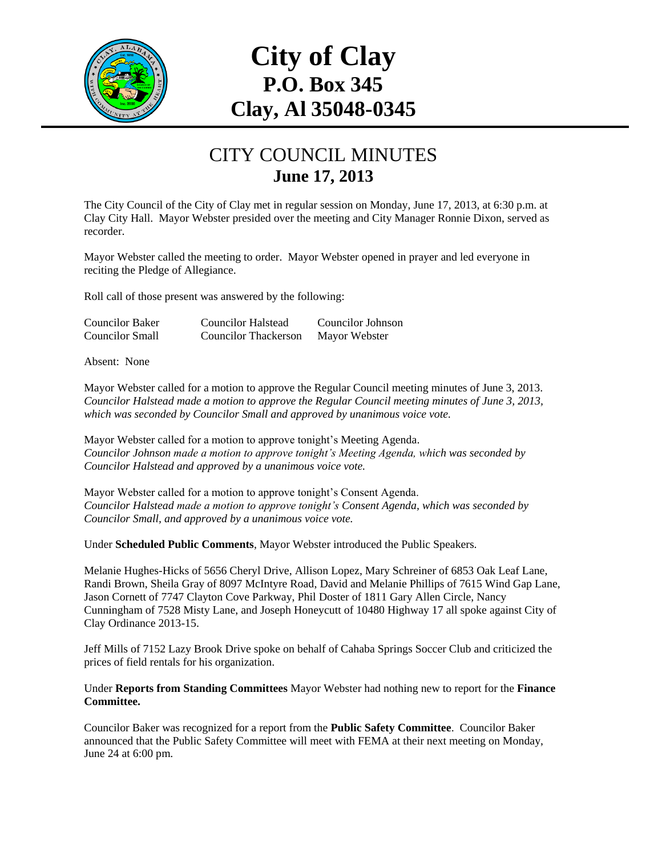

## **City of Clay P.O. Box 345 Clay, Al 35048-0345**

## CITY COUNCIL MINUTES **June 17, 2013**

The City Council of the City of Clay met in regular session on Monday, June 17, 2013, at 6:30 p.m. at Clay City Hall. Mayor Webster presided over the meeting and City Manager Ronnie Dixon, served as recorder.

Mayor Webster called the meeting to order. Mayor Webster opened in prayer and led everyone in reciting the Pledge of Allegiance.

Roll call of those present was answered by the following:

| <b>Councilor Baker</b> | <b>Councilor Halstead</b> | Councilor Johnson |
|------------------------|---------------------------|-------------------|
| <b>Councilor Small</b> | Councilor Thackerson      | Mayor Webster     |

Absent: None

Mayor Webster called for a motion to approve the Regular Council meeting minutes of June 3, 2013. *Councilor Halstead made a motion to approve the Regular Council meeting minutes of June 3, 2013, which was seconded by Councilor Small and approved by unanimous voice vote.*

Mayor Webster called for a motion to approve tonight's Meeting Agenda. *Councilor Johnson made a motion to approve tonight's Meeting Agenda, which was seconded by Councilor Halstead and approved by a unanimous voice vote.*

Mayor Webster called for a motion to approve tonight's Consent Agenda. *Councilor Halstead made a motion to approve tonight's Consent Agenda, which was seconded by Councilor Small, and approved by a unanimous voice vote.*

Under **Scheduled Public Comments**, Mayor Webster introduced the Public Speakers.

Melanie Hughes-Hicks of 5656 Cheryl Drive, Allison Lopez, Mary Schreiner of 6853 Oak Leaf Lane, Randi Brown, Sheila Gray of 8097 McIntyre Road, David and Melanie Phillips of 7615 Wind Gap Lane, Jason Cornett of 7747 Clayton Cove Parkway, Phil Doster of 1811 Gary Allen Circle, Nancy Cunningham of 7528 Misty Lane, and Joseph Honeycutt of 10480 Highway 17 all spoke against City of Clay Ordinance 2013-15.

Jeff Mills of 7152 Lazy Brook Drive spoke on behalf of Cahaba Springs Soccer Club and criticized the prices of field rentals for his organization.

Under **Reports from Standing Committees** Mayor Webster had nothing new to report for the **Finance Committee.**

Councilor Baker was recognized for a report from the **Public Safety Committee**. Councilor Baker announced that the Public Safety Committee will meet with FEMA at their next meeting on Monday, June 24 at 6:00 pm.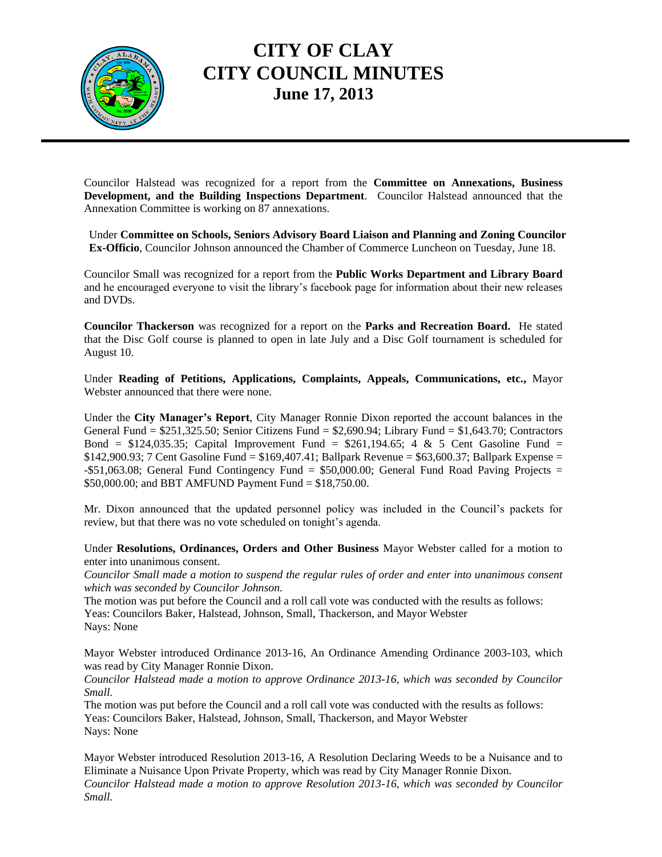

## **CITY OF CLAY CITY COUNCIL MINUTES June 17, 2013**

Councilor Halstead was recognized for a report from the **Committee on Annexations, Business Development, and the Building Inspections Department**. Councilor Halstead announced that the Annexation Committee is working on 87 annexations.

Under **Committee on Schools, Seniors Advisory Board Liaison and Planning and Zoning Councilor Ex-Officio**, Councilor Johnson announced the Chamber of Commerce Luncheon on Tuesday, June 18.

Councilor Small was recognized for a report from the **Public Works Department and Library Board** and he encouraged everyone to visit the library's facebook page for information about their new releases and DVDs.

**Councilor Thackerson** was recognized for a report on the **Parks and Recreation Board.** He stated that the Disc Golf course is planned to open in late July and a Disc Golf tournament is scheduled for August 10.

Under **Reading of Petitions, Applications, Complaints, Appeals, Communications, etc.,** Mayor Webster announced that there were none.

Under the **City Manager's Report**, City Manager Ronnie Dixon reported the account balances in the General Fund  $= $251,325.50$ ; Senior Citizens Fund  $= $2,690.94$ ; Library Fund  $= $1,643.70$ ; Contractors Bond =  $$124,035.35$ ; Capital Improvement Fund =  $$261,194.65$ ; 4 & 5 Cent Gasoline Fund = \$142,900.93; 7 Cent Gasoline Fund = \$169,407.41; Ballpark Revenue = \$63,600.37; Ballpark Expense = - $$51,063.08$ ; General Fund Contingency Fund =  $$50,000.00$ ; General Fund Road Paving Projects = \$50,000.00; and BBT AMFUND Payment Fund = \$18,750.00.

Mr. Dixon announced that the updated personnel policy was included in the Council's packets for review, but that there was no vote scheduled on tonight's agenda.

Under **Resolutions, Ordinances, Orders and Other Business** Mayor Webster called for a motion to enter into unanimous consent.

*Councilor Small made a motion to suspend the regular rules of order and enter into unanimous consent which was seconded by Councilor Johnson.*

The motion was put before the Council and a roll call vote was conducted with the results as follows: Yeas: Councilors Baker, Halstead, Johnson, Small, Thackerson, and Mayor Webster Nays: None

Mayor Webster introduced Ordinance 2013-16, An Ordinance Amending Ordinance 2003-103, which was read by City Manager Ronnie Dixon.

*Councilor Halstead made a motion to approve Ordinance 2013-16, which was seconded by Councilor Small.*

The motion was put before the Council and a roll call vote was conducted with the results as follows: Yeas: Councilors Baker, Halstead, Johnson, Small, Thackerson, and Mayor Webster Nays: None

Mayor Webster introduced Resolution 2013-16, A Resolution Declaring Weeds to be a Nuisance and to Eliminate a Nuisance Upon Private Property, which was read by City Manager Ronnie Dixon. *Councilor Halstead made a motion to approve Resolution 2013-16, which was seconded by Councilor Small.*